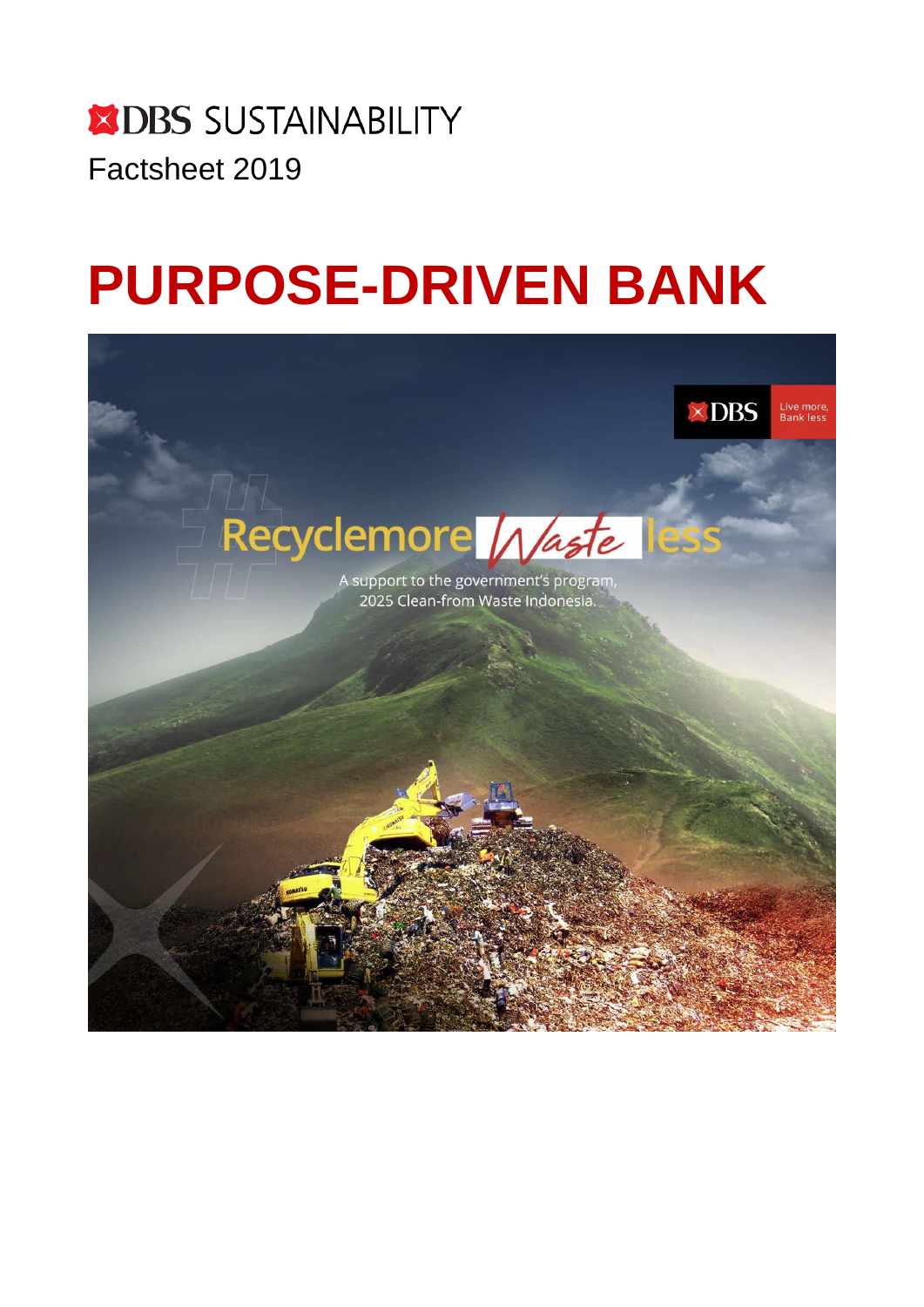# **X DBS SUSTAINABILITY** Factsheet 2019

# **PURPOSE-DRIVEN BANK**

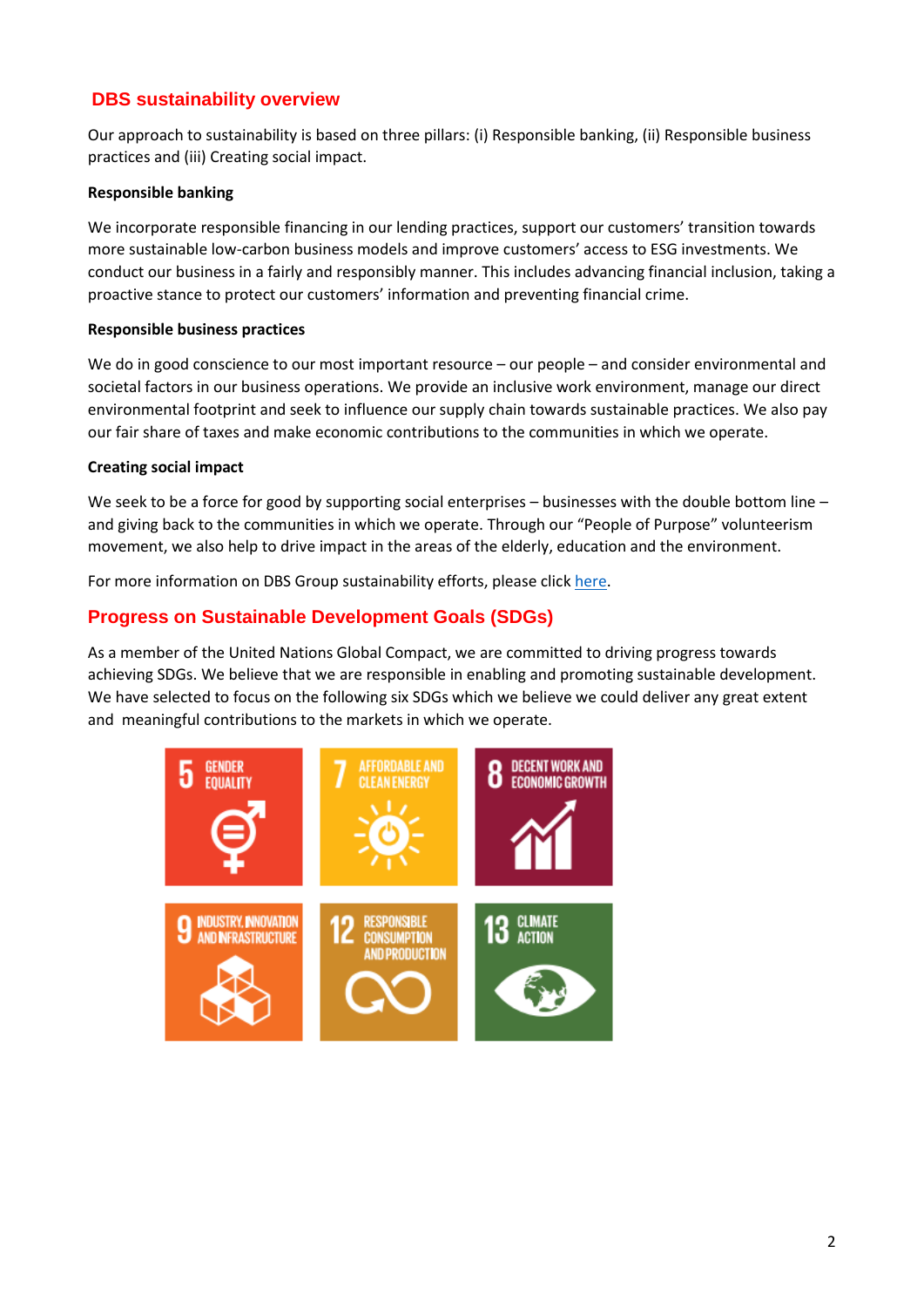### **DBS sustainability overview**

Our approach to sustainability is based on three pillars: (i) Responsible banking, (ii) Responsible business practices and (iii) Creating social impact.

### **Responsible banking**

We incorporate responsible financing in our lending practices, support our customers' transition towards more sustainable low-carbon business models and improve customers' access to ESG investments. We conduct our business in a fairly and responsibly manner. This includes advancing financial inclusion, taking a proactive stance to protect our customers' information and preventing financial crime.

### **Responsible business practices**

We do in good conscience to our most important resource – our people – and consider environmental and societal factors in our business operations. We provide an inclusive work environment, manage our direct environmental footprint and seek to influence our supply chain towards sustainable practices. We also pay our fair share of taxes and make economic contributions to the communities in which we operate.

### **Creating social impact**

We seek to be a force for good by supporting social enterprises – businesses with the double bottom line – and giving back to the communities in which we operate. Through our "People of Purpose" volunteerism movement, we also help to drive impact in the areas of the elderly, education and the environment.

For more information on DBS Group sustainability efforts, please clic[k here.](https://www.dbs.com/sustainability/default.page)

### **Progress on Sustainable Development Goals (SDGs)**

As a member of the United Nations Global Compact, we are committed to driving progress towards achieving SDGs. We believe that we are responsible in enabling and promoting sustainable development. We have selected to focus on the following six SDGs which we believe we could deliver any great extent and meaningful contributions to the markets in which we operate.

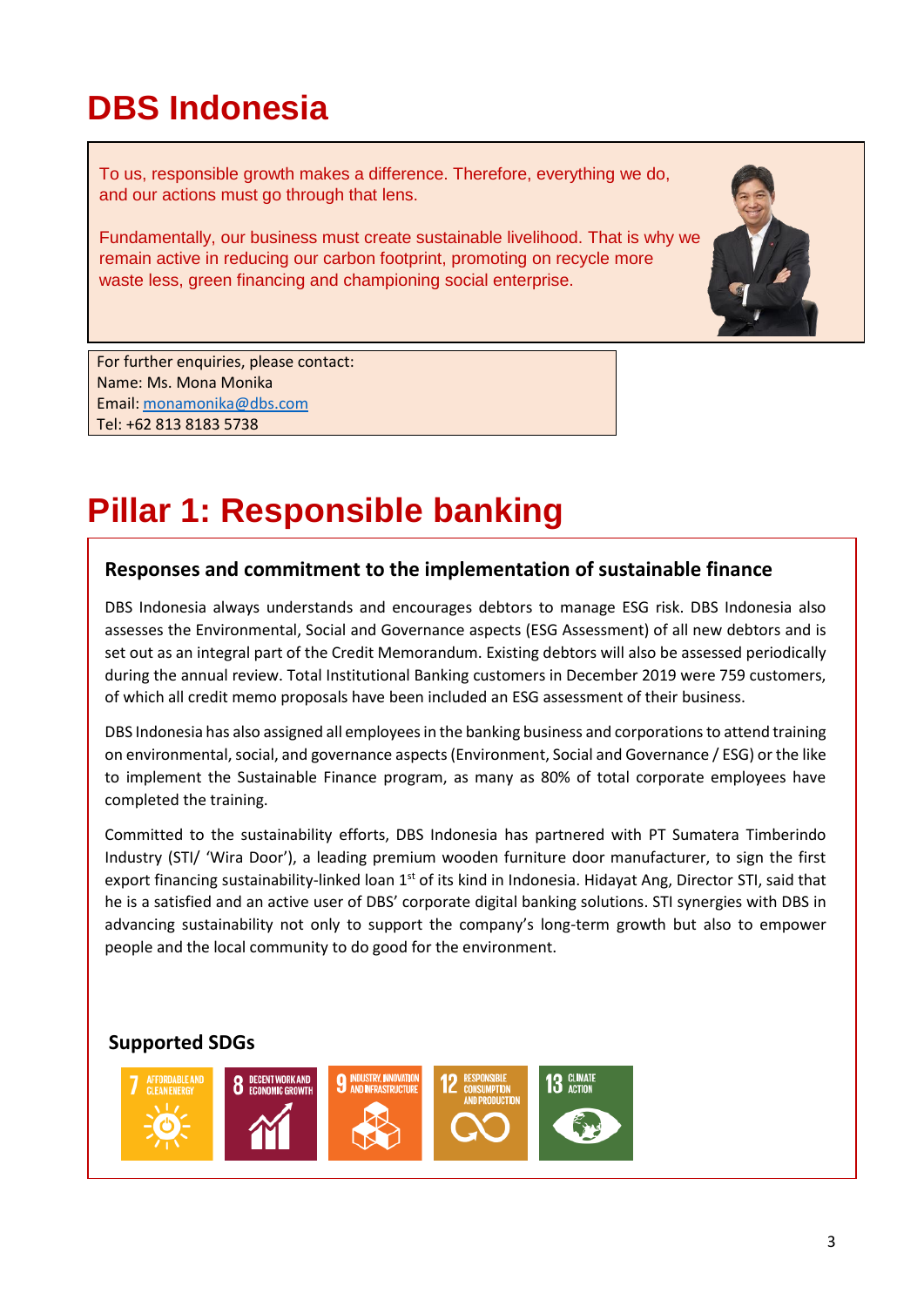# **DBS Indonesia**

To us, responsible growth makes a difference. Therefore, everything we do, and our actions must go through that lens.

Fundamentally, our business must create sustainable livelihood. That is why we remain active in reducing our carbon footprint, promoting on recycle more waste less, green financing and championing social enterprise.



For further enquiries, please contact: Name: Ms. Mona Monika Email: [monamonika@dbs.com](mailto:monamonika@dbs.com) Tel: +62 813 8183 5738

 $\overline{a}$ 

# **Pillar 1: Responsible banking**

## **Responses and commitment to the implementation of sustainable finance**

DBS Indonesia always understands and encourages debtors to manage ESG risk. DBS Indonesia also assesses the Environmental, Social and Governance aspects (ESG Assessment) of all new debtors and is set out as an integral part of the Credit Memorandum. Existing debtors will also be assessed periodically during the annual review. Total Institutional Banking customers in December 2019 were 759 customers, of which all credit memo proposals have been included an ESG assessment of their business.

DBS Indonesia has also assigned all employees in the banking business and corporations to attend training on environmental, social, and governance aspects (Environment, Social and Governance / ESG) or the like to implement the Sustainable Finance program, as many as 80% of total corporate employees have completed the training.

Committed to the sustainability efforts, DBS Indonesia has partnered with PT Sumatera Timberindo Industry (STI/ 'Wira Door'), a leading premium wooden furniture door manufacturer, to sign the first export financing sustainability-linked loan 1<sup>st</sup> of its kind in Indonesia. Hidayat Ang, Director STI, said that he is a satisfied and an active user of DBS' corporate digital banking solutions. STI synergies with DBS in advancing sustainability not only to support the company's long-term growth but also to empower people and the local community to do good for the environment.

# **Supported SDGs**

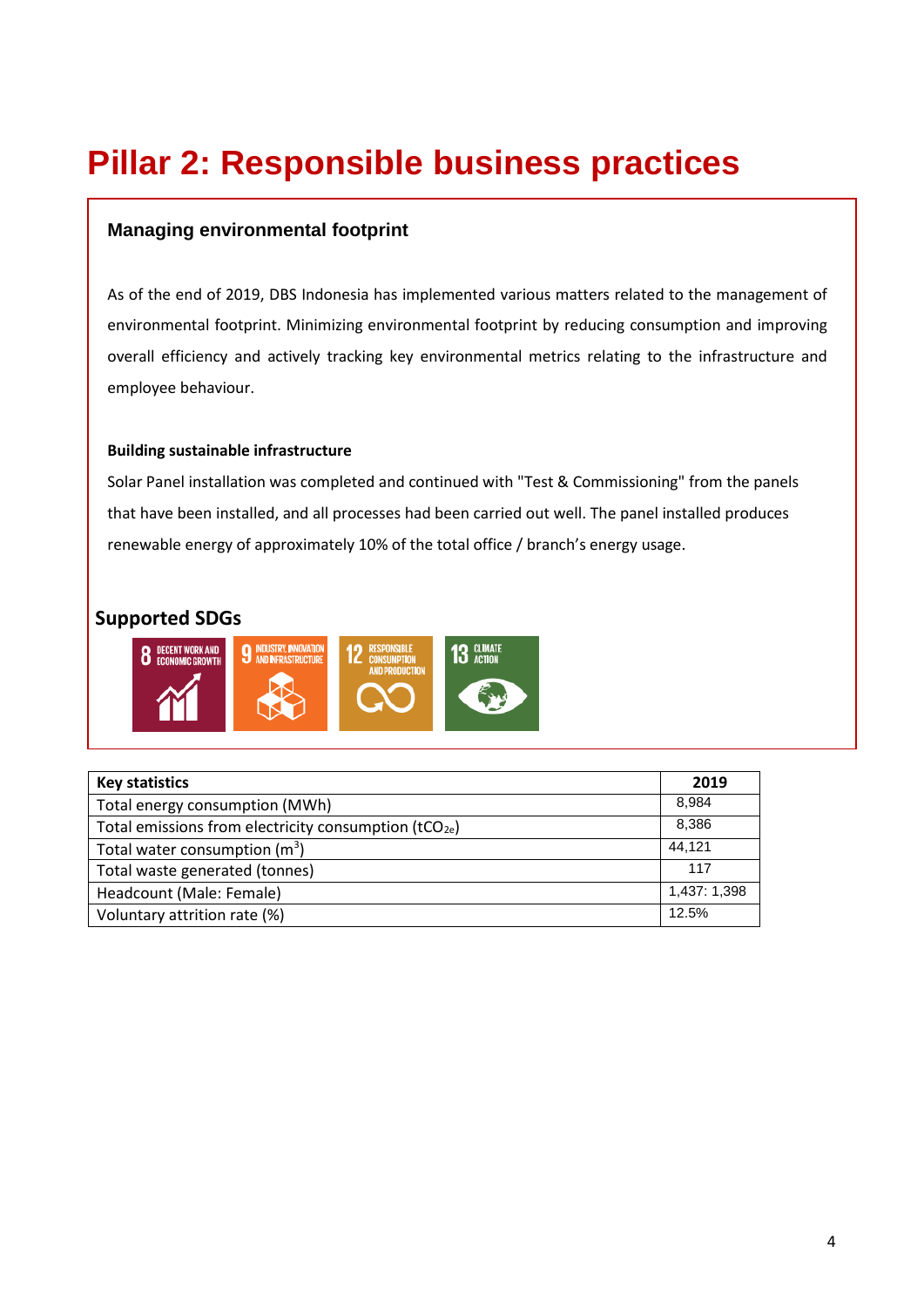# **Pillar 2: Responsible business practices**

### **Managing environmental footprint**

environmental footprint. Minimizing environmental footprint by reducing consumption and improving overall efficiency and actively tracking key environmental metrics relating to the infrastructure and As of the end of 2019, DBS Indonesia has implemented various matters related to the management of employee behaviour.

 $\mathcal{L}_{\mathcal{D}}$  replacing light bulbs with LED lamps in the offices and sub-branches, including DBS Bank Tower Tower Tower Tower Tower Tower Tower Tower Tower Tower Tower Tower Tower Tower Tower Tower Tower Tower Tower Tow

#### **Building sustainable infrastructure**

Solar Panel installation was completed and continued with "Test & Commissioning" from the panels that have been installed, and all processes had been carried out well. The panel installed produces renewable energy of approximately 10% of the total office / branch's energy usage.

### **Supported SDGs**



| <b>Key statistics</b>                                       | 2019         |
|-------------------------------------------------------------|--------------|
| Total energy consumption (MWh)                              | 8.984        |
| Total emissions from electricity consumption ( $tCO_{2e}$ ) | 8,386        |
| Total water consumption $(m^3)$                             | 44.121       |
| Total waste generated (tonnes)                              | 117          |
| Headcount (Male: Female)                                    | 1,437: 1,398 |
| Voluntary attrition rate (%)                                | 12.5%        |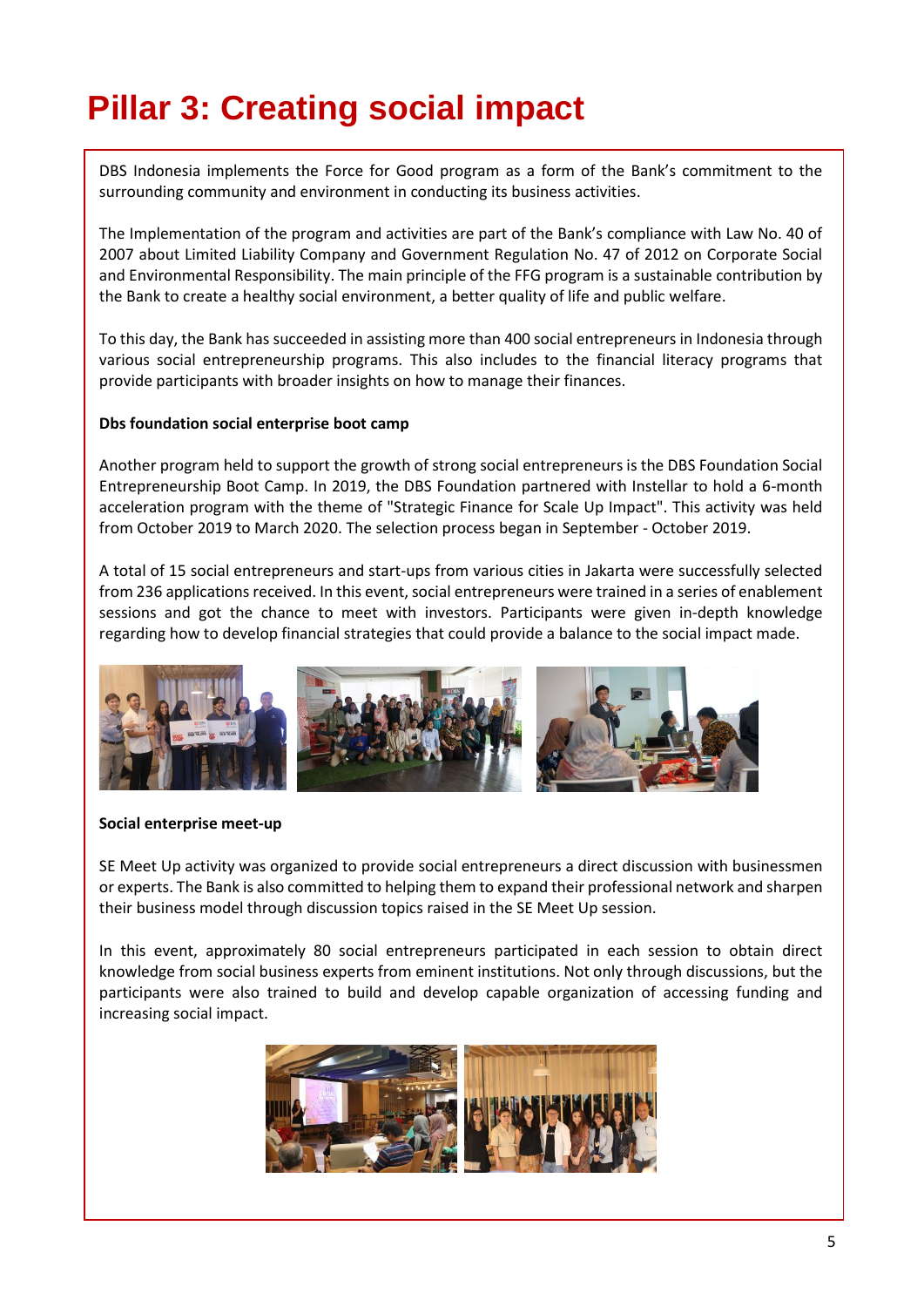# **Pillar 3: Creating social impact**

DBS Indonesia implements the Force for Good program as a form of the Bank's commitment to the surrounding community and environment in conducting its business activities.

The Implementation of the program and activities are part of the Bank's compliance with Law No. 40 of 2007 about Limited Liability Company and Government Regulation No. 47 of 2012 on Corporate Social and Environmental Responsibility. The main principle of the FFG program is a sustainable contribution by the Bank to create a healthy social environment, a better quality of life and public welfare.

To this day, the Bank has succeeded in assisting more than 400 social entrepreneurs in Indonesia through various social entrepreneurship programs. This also includes to the financial literacy programs that provide participants with broader insights on how to manage their finances.

#### **Dbs foundation social enterprise boot camp**

Another program held to support the growth of strong social entrepreneurs is the DBS Foundation Social Entrepreneurship Boot Camp. In 2019, the DBS Foundation partnered with Instellar to hold a 6-month acceleration program with the theme of "Strategic Finance for Scale Up Impact". This activity was held from October 2019 to March 2020. The selection process began in September - October 2019.

A total of 15 social entrepreneurs and start-ups from various cities in Jakarta were successfully selected from 236 applications received. In this event, social entrepreneurs were trained in a series of enablement sessions and got the chance to meet with investors. Participants were given in-depth knowledge regarding how to develop financial strategies that could provide a balance to the social impact made.



#### **Social enterprise meet-up**

SE Meet Up activity was organized to provide social entrepreneurs a direct discussion with businessmen or experts. The Bank is also committed to helping them to expand their professional network and sharpen their business model through discussion topics raised in the SE Meet Up session.

In this event, approximately 80 social entrepreneurs participated in each session to obtain direct knowledge from social business experts from eminent institutions. Not only through discussions, but the participants were also trained to build and develop capable organization of accessing funding and increasing social impact.

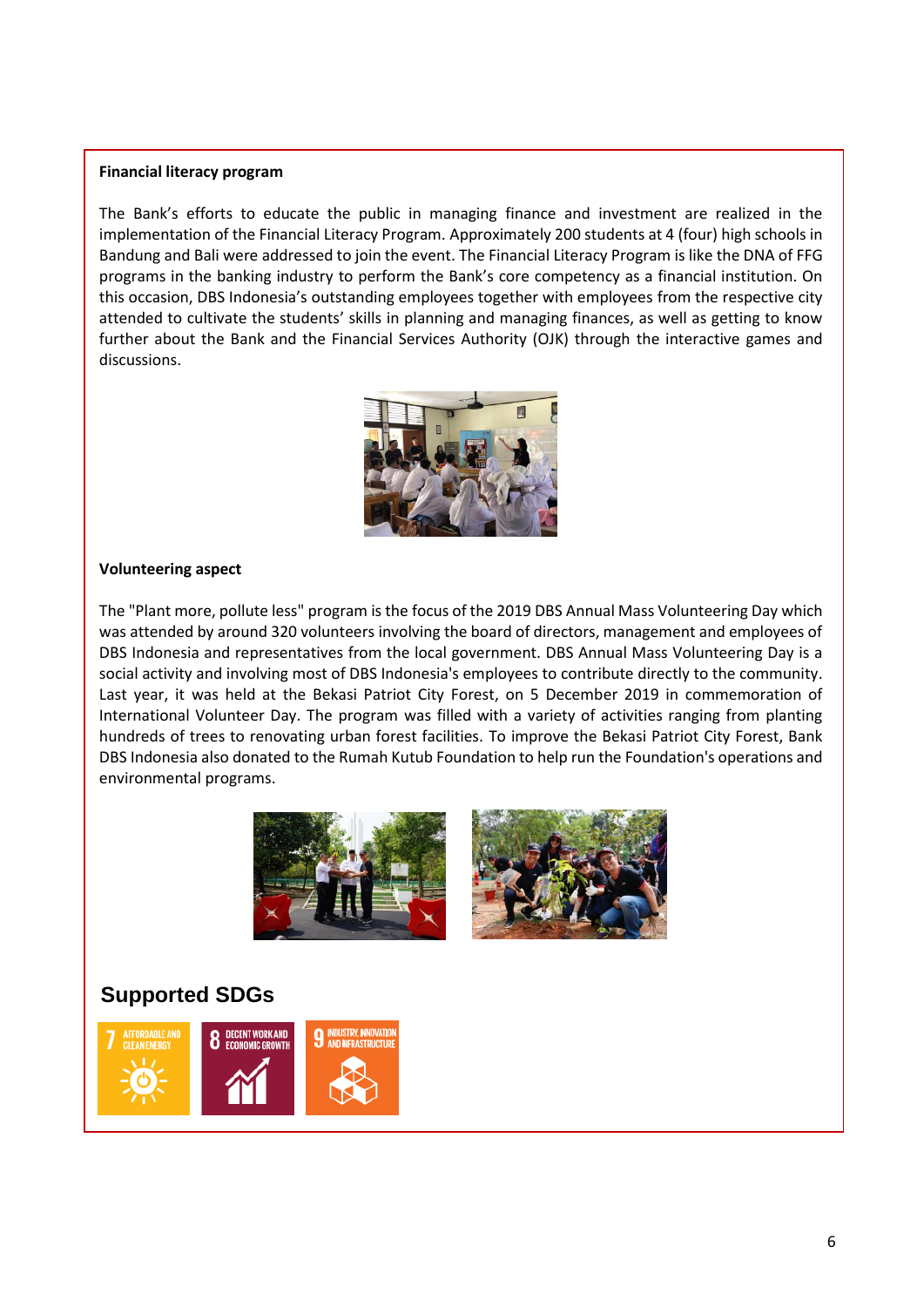#### **Financial literacy program**

The Bank's efforts to educate the public in managing finance and investment are realized in the implementation of the Financial Literacy Program. Approximately 200 students at 4 (four) high schools in Bandung and Bali were addressed to join the event. The Financial Literacy Program is like the DNA of FFG programs in the banking industry to perform the Bank's core competency as a financial institution. On this occasion, DBS Indonesia's outstanding employees together with employees from the respective city attended to cultivate the students' skills in planning and managing finances, as well as getting to know further about the Bank and the Financial Services Authority (OJK) through the interactive games and discussions.



#### **Volunteering aspect**

The "Plant more, pollute less" program is the focus of the 2019 DBS Annual Mass Volunteering Day which was attended by around 320 volunteers involving the board of directors, management and employees of DBS Indonesia and representatives from the local government. DBS Annual Mass Volunteering Day is a social activity and involving most of DBS Indonesia's employees to contribute directly to the community. Last year, it was held at the Bekasi Patriot City Forest, on 5 December 2019 in commemoration of International Volunteer Day. The program was filled with a variety of activities ranging from planting hundreds of trees to renovating urban forest facilities. To improve the Bekasi Patriot City Forest, Bank DBS Indonesia also donated to the Rumah Kutub Foundation to help run the Foundation's operations and environmental programs.



# **Supported SDGs**